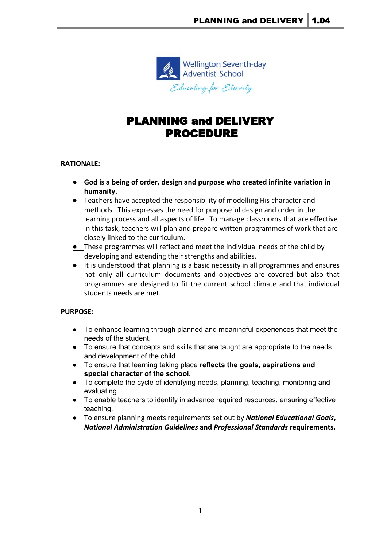

# PLANNING and DELIVERY PROCEDURE

## **RATIONALE:**

- **● God is a being of order, design and purpose who created infinite variation in humanity.**
- Teachers have accepted the responsibility of modelling His character and methods. This expresses the need for purposeful design and order in the learning process and all aspects of life. To manage classrooms that are effective in this task, teachers will plan and prepare written programmes of work that are closely linked to the curriculum.
- **●** These programmes will reflect and meet the individual needs of the child by developing and extending their strengths and abilities.
- It is understood that planning is a basic necessity in all programmes and ensures not only all curriculum documents and objectives are covered but also that programmes are designed to fit the current school climate and that individual students needs are met.

## **PURPOSE:**

- To enhance learning through planned and meaningful experiences that meet the needs of the student.
- To ensure that concepts and skills that are taught are appropriate to the needs and development of the child.
- **●** To ensure that learning taking place **reflects the goals, aspirations and special character of the school.**
- To complete the cycle of identifying needs, planning, teaching, monitoring and evaluating.
- To enable teachers to identify in advance required resources, ensuring effective teaching.
- **●** To ensure planning meets requirements set out by *National Educational Goals***,** *National Administration Guidelines* **and** *Professional Standards* **requirements.**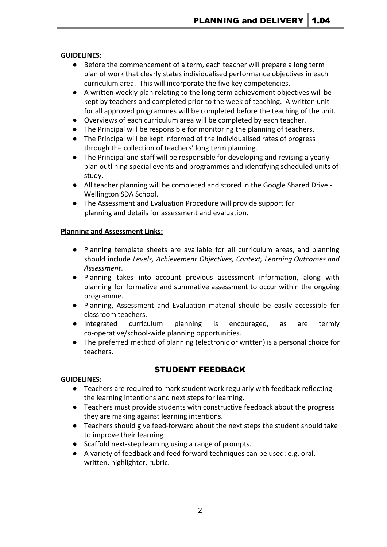## **GUIDELINES:**

- Before the commencement of a term, each teacher will prepare a long term plan of work that clearly states individualised performance objectives in each curriculum area. This will incorporate the five key competencies.
- A written weekly plan relating to the long term achievement objectives will be kept by teachers and completed prior to the week of teaching. A written unit for all approved programmes will be completed before the teaching of the unit.
- Overviews of each curriculum area will be completed by each teacher.
- The Principal will be responsible for monitoring the planning of teachers.
- The Principal will be kept informed of the individualised rates of progress through the collection of teachers' long term planning.
- The Principal and staff will be responsible for developing and revising a yearly plan outlining special events and programmes and identifying scheduled units of study.
- All teacher planning will be completed and stored in the Google Shared Drive Wellington SDA School.
- The Assessment and Evaluation Procedure will provide support for planning and details for assessment and evaluation.

## **Planning and Assessment Links:**

- Planning template sheets are available for all curriculum areas, and planning should include *Levels, Achievement Objectives, Context, Learning Outcomes and Assessment*.
- Planning takes into account previous assessment information, along with planning for formative and summative assessment to occur within the ongoing programme.
- Planning, Assessment and Evaluation material should be easily accessible for classroom teachers.
- Integrated curriculum planning is encouraged, as are termly co-operative/school-wide planning opportunities.
- The preferred method of planning (electronic or written) is a personal choice for teachers.

# STUDENT FEEDBACK

## **GUIDELINES:**

- Teachers are required to mark student work regularly with feedback reflecting the learning intentions and next steps for learning.
- Teachers must provide students with constructive feedback about the progress they are making against learning intentions.
- Teachers should give feed-forward about the next steps the student should take to improve their learning
- Scaffold next-step learning using a range of prompts.
- A variety of feedback and feed forward techniques can be used: e.g. oral, written, highlighter, rubric.